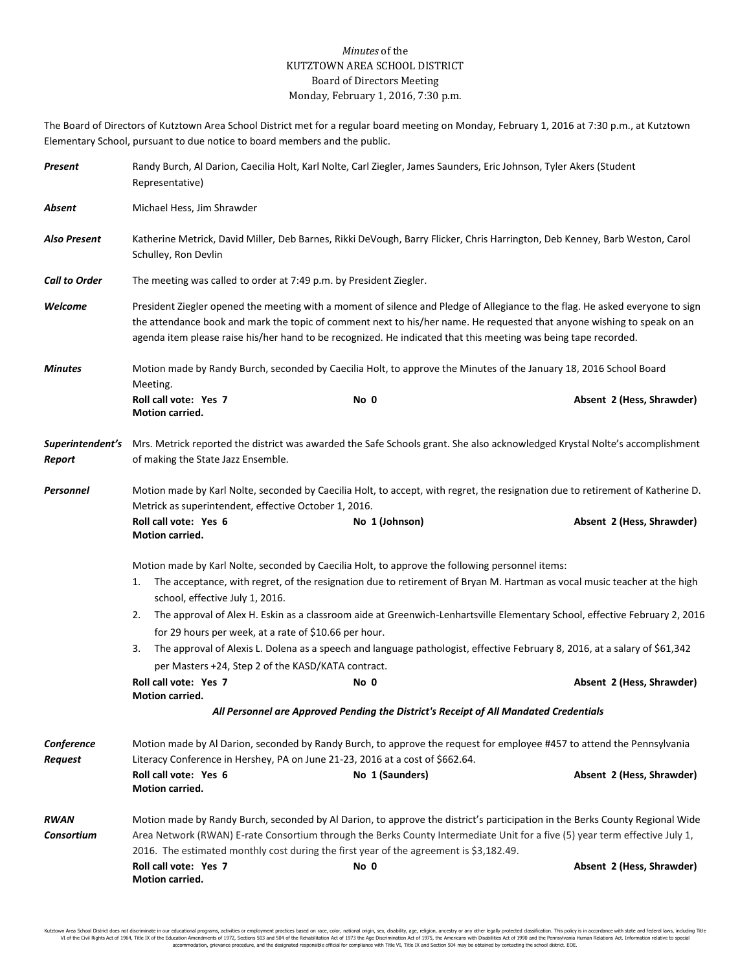## *Minutes* of the KUTZTOWN AREA SCHOOL DISTRICT Board of Directors Meeting Monday, February 1, 2016, 7:30 p.m.

The Board of Directors of Kutztown Area School District met for a regular board meeting on Monday, February 1, 2016 at 7:30 p.m., at Kutztown Elementary School, pursuant to due notice to board members and the public.

| Present                      | Randy Burch, Al Darion, Caecilia Holt, Karl Nolte, Carl Ziegler, James Saunders, Eric Johnson, Tyler Akers (Student<br>Representative)                                                                                                                                                                                                                                      |                                                                                       |                           |  |  |
|------------------------------|-----------------------------------------------------------------------------------------------------------------------------------------------------------------------------------------------------------------------------------------------------------------------------------------------------------------------------------------------------------------------------|---------------------------------------------------------------------------------------|---------------------------|--|--|
| Absent                       | Michael Hess, Jim Shrawder                                                                                                                                                                                                                                                                                                                                                  |                                                                                       |                           |  |  |
| Also Present                 | Katherine Metrick, David Miller, Deb Barnes, Rikki DeVough, Barry Flicker, Chris Harrington, Deb Kenney, Barb Weston, Carol<br>Schulley, Ron Devlin                                                                                                                                                                                                                         |                                                                                       |                           |  |  |
| <b>Call to Order</b>         | The meeting was called to order at 7:49 p.m. by President Ziegler.                                                                                                                                                                                                                                                                                                          |                                                                                       |                           |  |  |
| Welcome                      | President Ziegler opened the meeting with a moment of silence and Pledge of Allegiance to the flag. He asked everyone to sign<br>the attendance book and mark the topic of comment next to his/her name. He requested that anyone wishing to speak on an<br>agenda item please raise his/her hand to be recognized. He indicated that this meeting was being tape recorded. |                                                                                       |                           |  |  |
| <b>Minutes</b>               | Motion made by Randy Burch, seconded by Caecilia Holt, to approve the Minutes of the January 18, 2016 School Board<br>Meeting.                                                                                                                                                                                                                                              |                                                                                       |                           |  |  |
|                              | Roll call vote: Yes 7<br>Motion carried.                                                                                                                                                                                                                                                                                                                                    | No 0                                                                                  | Absent 2 (Hess, Shrawder) |  |  |
| Report                       | Superintendent's Mrs. Metrick reported the district was awarded the Safe Schools grant. She also acknowledged Krystal Nolte's accomplishment<br>of making the State Jazz Ensemble.                                                                                                                                                                                          |                                                                                       |                           |  |  |
| Personnel                    | Motion made by Karl Nolte, seconded by Caecilia Holt, to accept, with regret, the resignation due to retirement of Katherine D.<br>Metrick as superintendent, effective October 1, 2016.                                                                                                                                                                                    |                                                                                       |                           |  |  |
|                              | Roll call vote: Yes 6<br>Motion carried.                                                                                                                                                                                                                                                                                                                                    | No 1 (Johnson)                                                                        | Absent 2 (Hess, Shrawder) |  |  |
|                              | Motion made by Karl Nolte, seconded by Caecilia Holt, to approve the following personnel items:<br>The acceptance, with regret, of the resignation due to retirement of Bryan M. Hartman as vocal music teacher at the high<br>1.<br>school, effective July 1, 2016.                                                                                                        |                                                                                       |                           |  |  |
|                              | The approval of Alex H. Eskin as a classroom aide at Greenwich-Lenhartsville Elementary School, effective February 2, 2016<br>2.<br>for 29 hours per week, at a rate of \$10.66 per hour.                                                                                                                                                                                   |                                                                                       |                           |  |  |
|                              | The approval of Alexis L. Dolena as a speech and language pathologist, effective February 8, 2016, at a salary of \$61,342<br>3.<br>per Masters +24, Step 2 of the KASD/KATA contract.                                                                                                                                                                                      |                                                                                       |                           |  |  |
|                              | Roll call vote: Yes 7<br><b>Motion carried.</b>                                                                                                                                                                                                                                                                                                                             | No 0                                                                                  | Absent 2 (Hess, Shrawder) |  |  |
|                              |                                                                                                                                                                                                                                                                                                                                                                             | All Personnel are Approved Pending the District's Receipt of All Mandated Credentials |                           |  |  |
| Conference<br><b>Request</b> | Motion made by Al Darion, seconded by Randy Burch, to approve the request for employee #457 to attend the Pennsylvania<br>Literacy Conference in Hershey, PA on June 21-23, 2016 at a cost of \$662.64.                                                                                                                                                                     |                                                                                       |                           |  |  |
|                              | Roll call vote: Yes 6<br>Motion carried.                                                                                                                                                                                                                                                                                                                                    | No 1 (Saunders)                                                                       | Absent 2 (Hess, Shrawder) |  |  |
| <b>RWAN</b><br>Consortium    | Motion made by Randy Burch, seconded by Al Darion, to approve the district's participation in the Berks County Regional Wide<br>Area Network (RWAN) E-rate Consortium through the Berks County Intermediate Unit for a five (5) year term effective July 1,<br>2016. The estimated monthly cost during the first year of the agreement is \$3,182.49.                       |                                                                                       |                           |  |  |
|                              | Roll call vote: Yes 7<br>Motion carried.                                                                                                                                                                                                                                                                                                                                    | No 0                                                                                  | Absent 2 (Hess, Shrawder) |  |  |

Kutztown Area School District does not discriminate in our educational programs, activities or employment practices based on race, color, national origin, sex, disability, age, religion, ancestry or any other leally prote